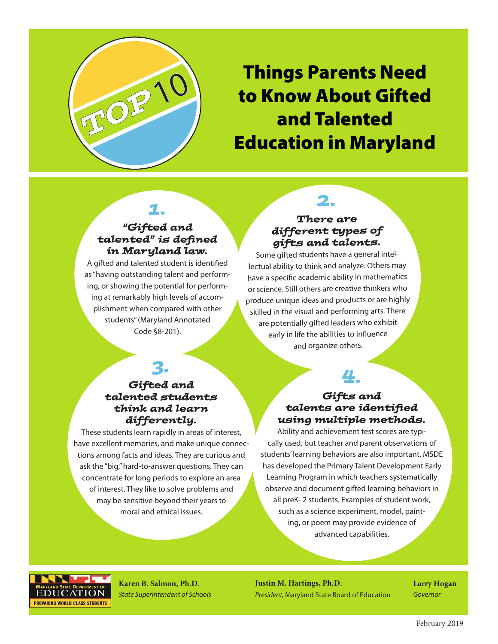

# Things Parents Need to Know About Gifted and Talented Education in Maryland

#### *1. "Gifted and talented" is defined in Maryland law.*

A gifted and talented student is identified as "having outstanding talent and performing, or showing the potential for performing at remarkably high levels of accomplishment when compared with other students" (Maryland Annotated Code §8-201).

#### *There are different types of gifts and talents.*

*2.*

Some gifted students have a general intellectual ability to think and analyze. Others may have a specific academic ability in mathematics or science. Still others are creative thinkers who produce unique ideas and products or are highly skilled in the visual and performing arts. There are potentially gifted leaders who exhibit early in life the abilities to influence and organize others.

## *3.*

#### *Gifted and talented students think and learn differently.*

These students learn rapidly in areas of interest, have excellent memories, and make unique connections among facts and ideas. They are curious and ask the "big," hard-to-answer questions. They can concentrate for long periods to explore an area of interest. They like to solve problems and may be sensitive beyond their years to moral and ethical issues.

### *4.*

#### *Gifts and talents are identified using multiple methods.*

Ability and achievement test scores are typically used, but teacher and parent observations of students' learning behaviors are also important. MSDE has developed the Primary Talent Development Early Learning Program in which teachers systematically observe and document gifted learning behaviors in all preK- 2 students. Examples of student work, such as a science experiment, model, painting, or poem may provide evidence of advanced capabilities.



**Karen B. Salmon, Ph.D.** *State Superintendent of Schools* **Justin M. Hartings, Ph.D.** *President,* Maryland State Board of Education **Larry Hogan** *Governor*